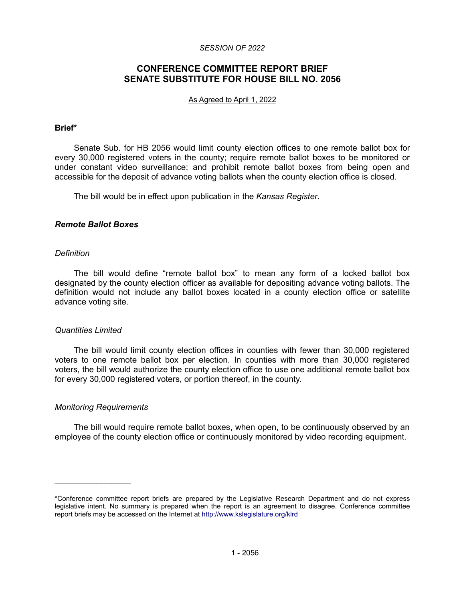### *SESSION OF 2022*

# **CONFERENCE COMMITTEE REPORT BRIEF SENATE SUBSTITUTE FOR HOUSE BILL NO. 2056**

#### As Agreed to April 1, 2022

### **Brief\***

Senate Sub. for HB 2056 would limit county election offices to one remote ballot box for every 30,000 registered voters in the county; require remote ballot boxes to be monitored or under constant video surveillance; and prohibit remote ballot boxes from being open and accessible for the deposit of advance voting ballots when the county election office is closed.

The bill would be in effect upon publication in the *Kansas Register*.

### *Remote Ballot Boxes*

### *Definition*

The bill would define "remote ballot box" to mean any form of a locked ballot box designated by the county election officer as available for depositing advance voting ballots. The definition would not include any ballot boxes located in a county election office or satellite advance voting site.

### *Quantities Limited*

The bill would limit county election offices in counties with fewer than 30,000 registered voters to one remote ballot box per election. In counties with more than 30,000 registered voters, the bill would authorize the county election office to use one additional remote ballot box for every 30,000 registered voters, or portion thereof, in the county.

### *Monitoring Requirements*

 $\mathcal{L}_\text{max}$  , where  $\mathcal{L}_\text{max}$ 

The bill would require remote ballot boxes, when open, to be continuously observed by an employee of the county election office or continuously monitored by video recording equipment.

<sup>\*</sup>Conference committee report briefs are prepared by the Legislative Research Department and do not express legislative intent. No summary is prepared when the report is an agreement to disagree. Conference committee report briefs may be accessed on the Internet at<http://www.kslegislature.org/klrd>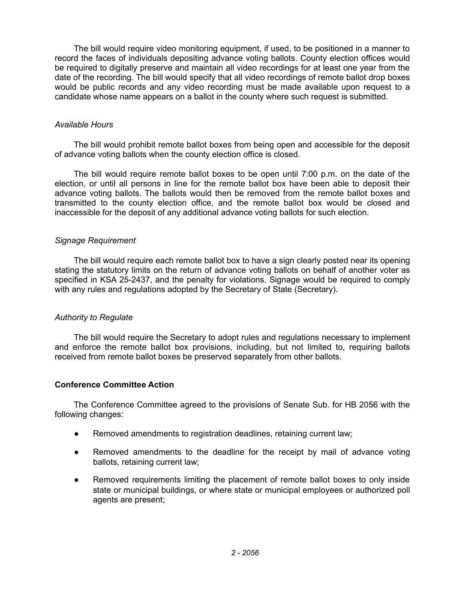The bill would require video monitoring equipment, if used, to be positioned in a manner to record the faces of individuals depositing advance voting ballots. County election offices would be required to digitally preserve and maintain all video recordings for at least one year from the date of the recording. The bill would specify that all video recordings of remote ballot drop boxes would be public records and any video recording must be made available upon request to a candidate whose name appears on a ballot in the county where such request is submitted.

## *Available Hours*

The bill would prohibit remote ballot boxes from being open and accessible for the deposit of advance voting ballots when the county election office is closed.

The bill would require remote ballot boxes to be open until 7:00 p.m. on the date of the election, or until all persons in line for the remote ballot box have been able to deposit their advance voting ballots. The ballots would then be removed from the remote ballot boxes and transmitted to the county election office, and the remote ballot box would be closed and inaccessible for the deposit of any additional advance voting ballots for such election.

### *Signage Requirement*

The bill would require each remote ballot box to have a sign clearly posted near its opening stating the statutory limits on the return of advance voting ballots on behalf of another voter as specified in KSA 25-2437, and the penalty for violations. Signage would be required to comply with any rules and regulations adopted by the Secretary of State (Secretary).

## *Authority to Regulate*

The bill would require the Secretary to adopt rules and regulations necessary to implement and enforce the remote ballot box provisions, including, but not limited to, requiring ballots received from remote ballot boxes be preserved separately from other ballots.

## **Conference Committee Action**

The Conference Committee agreed to the provisions of Senate Sub. for HB 2056 with the following changes:

- Removed amendments to registration deadlines, retaining current law;
- Removed amendments to the deadline for the receipt by mail of advance voting ballots, retaining current law;
- Removed requirements limiting the placement of remote ballot boxes to only inside state or municipal buildings, or where state or municipal employees or authorized poll agents are present;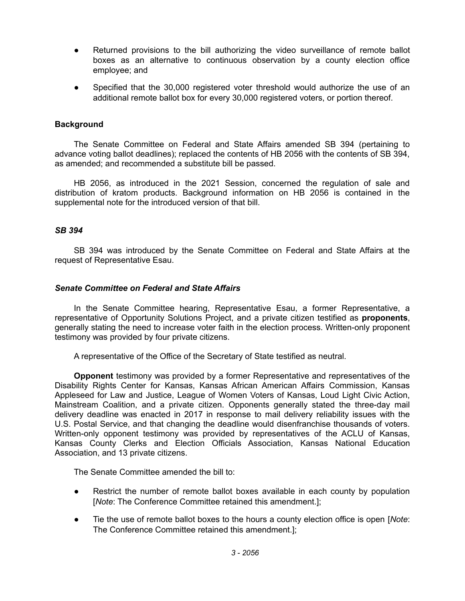- Returned provisions to the bill authorizing the video surveillance of remote ballot boxes as an alternative to continuous observation by a county election office employee; and
- Specified that the 30,000 registered voter threshold would authorize the use of an additional remote ballot box for every 30,000 registered voters, or portion thereof.

## **Background**

The Senate Committee on Federal and State Affairs amended SB 394 (pertaining to advance voting ballot deadlines); replaced the contents of HB 2056 with the contents of SB 394, as amended; and recommended a substitute bill be passed.

HB 2056, as introduced in the 2021 Session, concerned the regulation of sale and distribution of kratom products. Background information on HB 2056 is contained in the supplemental note for the introduced version of that bill.

## *SB 394*

SB 394 was introduced by the Senate Committee on Federal and State Affairs at the request of Representative Esau.

### *Senate Committee on Federal and State Affairs*

In the Senate Committee hearing, Representative Esau, a former Representative, a representative of Opportunity Solutions Project, and a private citizen testified as **proponents**, generally stating the need to increase voter faith in the election process. Written-only proponent testimony was provided by four private citizens.

A representative of the Office of the Secretary of State testified as neutral.

**Opponent** testimony was provided by a former Representative and representatives of the Disability Rights Center for Kansas, Kansas African American Affairs Commission, Kansas Appleseed for Law and Justice, League of Women Voters of Kansas, Loud Light Civic Action, Mainstream Coalition, and a private citizen. Opponents generally stated the three-day mail delivery deadline was enacted in 2017 in response to mail delivery reliability issues with the U.S. Postal Service, and that changing the deadline would disenfranchise thousands of voters. Written-only opponent testimony was provided by representatives of the ACLU of Kansas, Kansas County Clerks and Election Officials Association, Kansas National Education Association, and 13 private citizens.

The Senate Committee amended the bill to:

- Restrict the number of remote ballot boxes available in each county by population [*Note*: The Conference Committee retained this amendment.];
- Tie the use of remote ballot boxes to the hours a county election office is open *[Note:* The Conference Committee retained this amendment.];